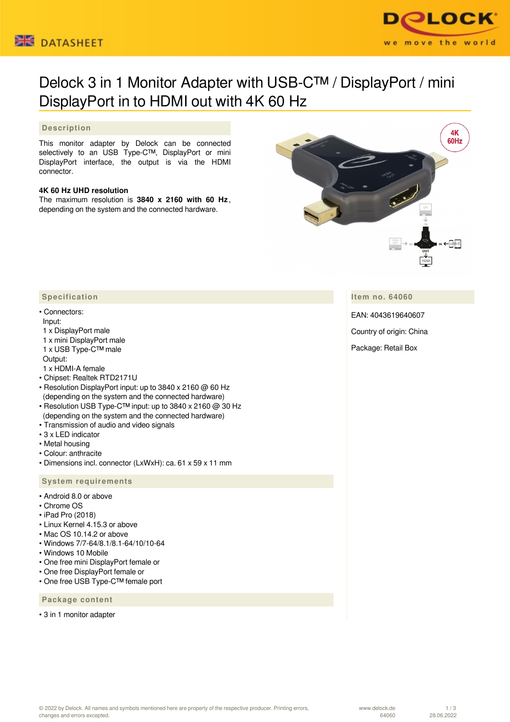



# Delock 3 in 1 Monitor Adapter with USB-C™ / DisplayPort / mini DisplayPort in to HDMI out with 4K 60 Hz

### **Description**

This monitor adapter by Delock can be connected selectively to an USB Type-C™, DisplayPort or mini DisplayPort interface, the output is via the HDMI connector.

#### **4K 60 Hz UHD resolution**

The maximum resolution is **3840 x 2160 with 60 Hz** , depending on the system and the connected hardware.



**Item no. 64060**

EAN: 4043619640607

Country of origin: China

Package: Retail Box

#### **Specification**

#### • Connectors:

#### Input:

- 1 x DisplayPort male
- 1 x mini DisplayPort male 1 x USB Type-C™ male
- Output:
- 1 x HDMI-A female
- Chipset: Realtek RTD2171U
- Resolution DisplayPort input: up to 3840 x 2160 @ 60 Hz (depending on the system and the connected hardware)
- Resolution USB Type-C™ input: up to 3840 x 2160 @ 30 Hz (depending on the system and the connected hardware)
- Transmission of audio and video signals
- 3 x LED indicator
- Metal housing
- Colour: anthracite
- Dimensions incl. connector (LxWxH): ca. 61 x 59 x 11 mm

#### **System requirements**

- Android 8.0 or above
- Chrome OS
- iPad Pro (2018)
- Linux Kernel 4.15.3 or above
- Mac OS 10.14.2 or above
- Windows 7/7-64/8.1/8.1-64/10/10-64
- Windows 10 Mobile
- One free mini DisplayPort female or
- One free DisplayPort female or
- One free USB Type-C™ female port

## **Package content**

• 3 in 1 monitor adapter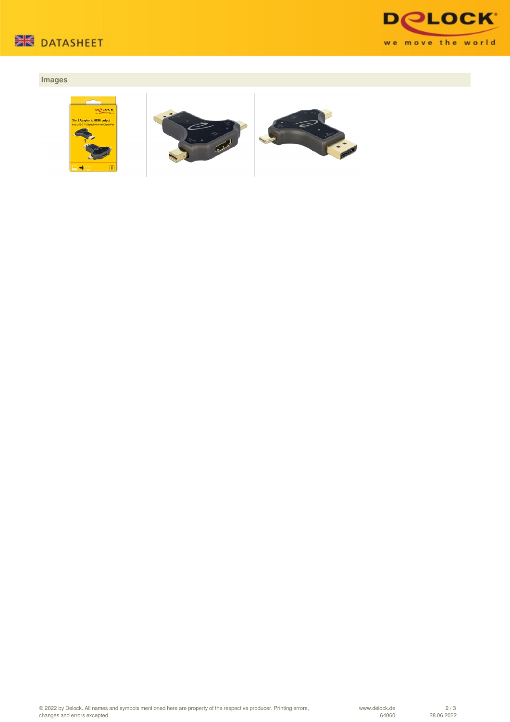



# **Images**